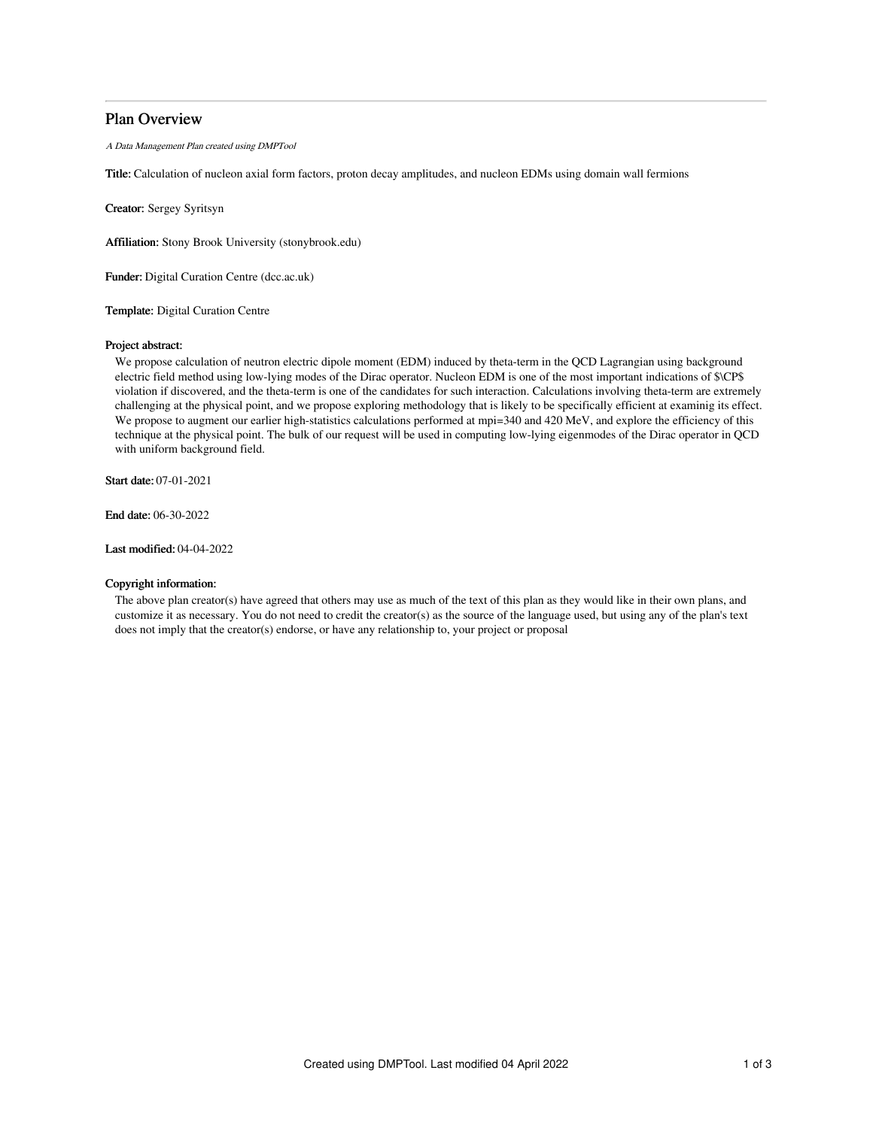# Plan Overview

A Data Management Plan created using DMPTool

Title: Calculation of nucleon axial form factors, proton decay amplitudes, and nucleon EDMs using domain wall fermions

Creator: Sergey Syritsyn

Affiliation: Stony Brook University (stonybrook.edu)

Funder: Digital Curation Centre (dcc.ac.uk)

Template: Digital Curation Centre

# Project abstract:

We propose calculation of neutron electric dipole moment (EDM) induced by theta-term in the QCD Lagrangian using background electric field method using low-lying modes of the Dirac operator. Nucleon EDM is one of the most important indications of \$\CP\$ violation if discovered, and the theta-term is one of the candidates for such interaction. Calculations involving theta-term are extremely challenging at the physical point, and we propose exploring methodology that is likely to be specifically efficient at examinig its effect. We propose to augment our earlier high-statistics calculations performed at mpi=340 and 420 MeV, and explore the efficiency of this technique at the physical point. The bulk of our request will be used in computing low-lying eigenmodes of the Dirac operator in QCD with uniform background field.

Start date: 07-01-2021

End date: 06-30-2022

Last modified: 04-04-2022

## Copyright information:

The above plan creator(s) have agreed that others may use as much of the text of this plan as they would like in their own plans, and customize it as necessary. You do not need to credit the creator(s) as the source of the language used, but using any of the plan's text does not imply that the creator(s) endorse, or have any relationship to, your project or proposal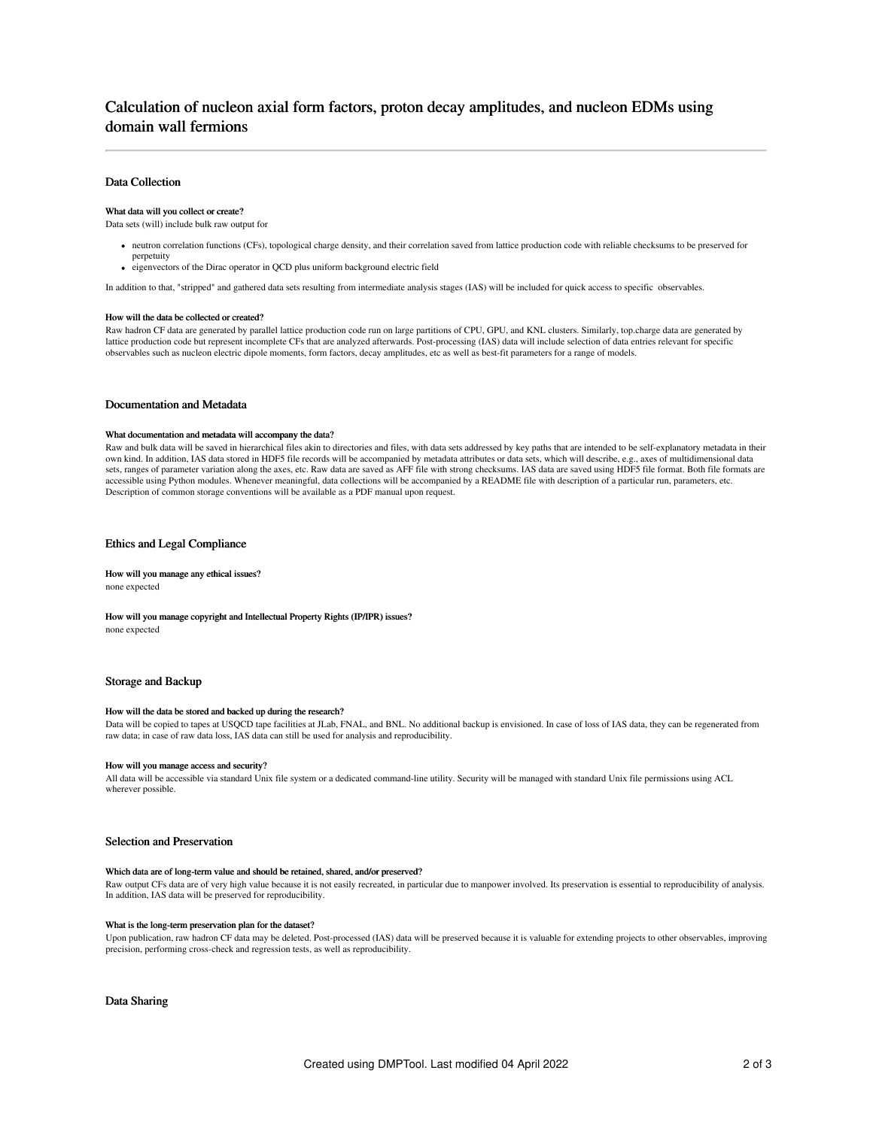# Calculation of nucleon axial form factors, proton decay amplitudes, and nucleon EDMs using domain wall fermions

## Data Collection

#### What data will you collect or create?

Data sets (will) include bulk raw output for

- neutron correlation functions (CFs), topological charge density, and their correlation saved from lattice production code with reliable checksums to be preserved for perpetuity
- eigenvectors of the Dirac operator in QCD plus uniform background electric field

In addition to that, "stripped" and gathered data sets resulting from intermediate analysis stages (IAS) will be included for quick access to specific observables.

#### How will the data be collected or created?

Raw hadron CF data are generated by parallel lattice production code run on large partitions of CPU, GPU, and KNL clusters. Similarly, top.charge data are generated by lattice production code but represent incomplete CFs that are analyzed afterwards. Post-processing (IAS) data will include selection of data entries relevant for specific observables such as nucleon electric dipole moments, form factors, decay amplitudes, etc as well as best-fit parameters for a range of models.

#### Documentation and Metadata

#### What documentation and metadata will accompany the data?

Raw and bulk data will be saved in hierarchical files akin to directories and files, with data sets addressed by key paths that are intended to be self-explanatory metadata in their own kind. In addition, IAS data stored in HDF5 file records will be accompanied by metadata attributes or data sets, which will describe, e.g., axes of multidimensional data sets, ranges of parameter variation along the axes, etc. Raw data are saved as AFF file with strong checksums. IAS data are saved using HDF5 file format. Both file formats are accessible using Python modules. Whenever meaningful, data collections will be accompanied by a README file with description of a particular run, parameters, etc. Description of common storage conventions will be available as a PDF manual upon request.

### Ethics and Legal Compliance

### How will you manage any ethical issues?

none expected

### How will you manage copyright and Intellectual Property Rights (IP/IPR) issues?

none expected

### Storage and Backup

#### How will the data be stored and backed up during the research?

Data will be copied to tapes at USQCD tape facilities at JLab, FNAL, and BNL. No additional backup is envisioned. In case of loss of IAS data, they can be regenerated from raw data; in case of raw data loss, IAS data can still be used for analysis and reproducibility.

#### How will you manage access and security?

All data will be accessible via standard Unix file system or a dedicated command-line utility. Security will be managed with standard Unix file permissions using ACL wherever possible.

#### Selection and Preservation

#### Which data are of long-term value and should be retained, shared, and/or preserved?

Raw output CFs data are of very high value because it is not easily recreated, in particular due to manpower involved. Its preservation is essential to reproducibility of analysis. In addition, IAS data will be preserved for reproducibility.

#### What is the long-term preservation plan for the dataset?

Upon publication, raw hadron CF data may be deleted. Post-processed (IAS) data will be preserved because it is valuable for extending projects to other observables, improving precision, performing cross-check and regression tests, as well as reproducibility.

Data Sharing